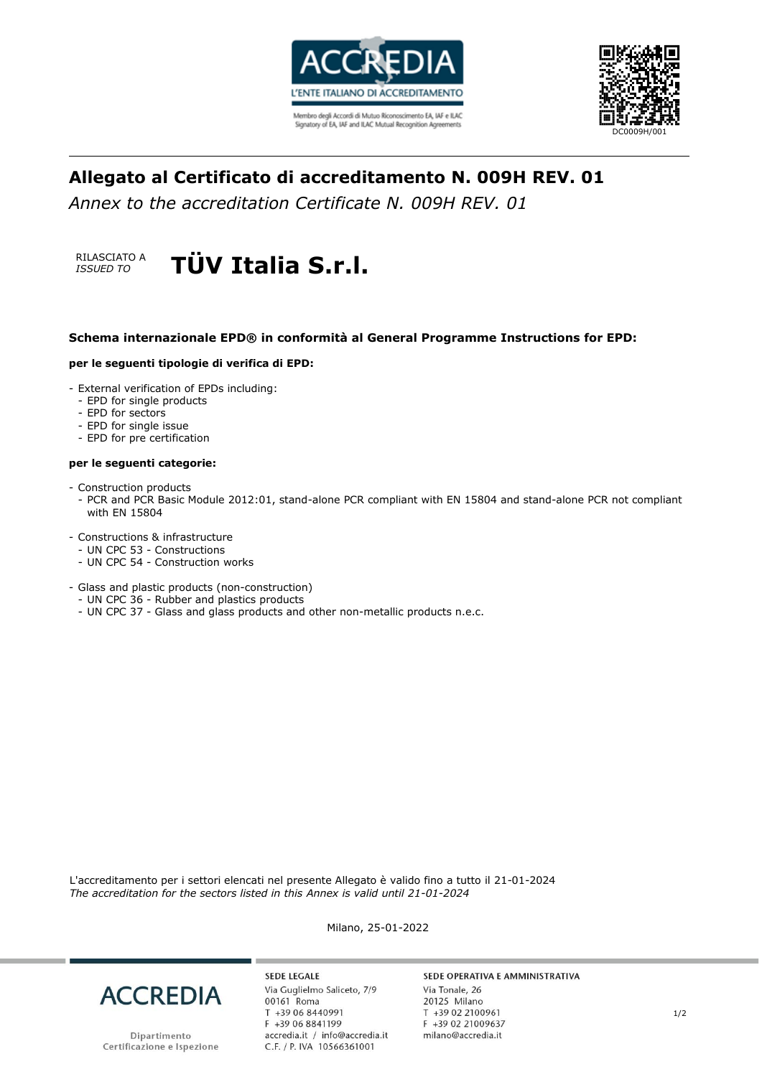

Membro degli Accordi di Mutuo Riconoscimento EA, IAF e ILAC Signatory of EA, IAF and ILAC Mutual Recognition Agreements



# **Allegato al Certificato di accreditamento N. 009H REV. 01**

*Annex to the accreditation Certificate N. 009H REV. 01*



### **Schema internazionale EPD® in conformità al General Programme Instructions for EPD:**

#### **per le seguenti tipologie di verifica di EPD:**

- External verification of EPDs including:
	- EPD for single products
	- EPD for sectors
	- EPD for single issue
	- EPD for pre certification

#### **per le seguenti categorie:**

- Construction products
- PCR and PCR Basic Module 2012:01, stand-alone PCR compliant with EN 15804 and stand-alone PCR not compliant with EN 15804
- Constructions & infrastructure
	- UN CPC 53 Constructions
	- UN CPC 54 Construction works
- Glass and plastic products (non-construction)
- UN CPC 36 Rubber and plastics products
- UN CPC 37 Glass and glass products and other non-metallic products n.e.c.

L'accreditamento per i settori elencati nel presente Allegato è valido fino a tutto il 21-01-2024 *The accreditation for the sectors listed in this Annex is valid until 21-01-2024*

**ACCREDIA** 

Dipartimento Certificazione e Ispezione

**SEDE LEGALE** Via Guglielmo Saliceto, 7/9 00161 Roma T +39 06 8440991 F +39 06 8841199 accredia.it / info@accredia.it<br>C.F. / P. IVA 10566361001

Milano, 25-01-2022

#### SEDE OPERATIVA E AMMINISTRATIVA

Via Tonale, 26 20125 Milano T +39 02 2100961 F +39 02 21009637 milano@accredia.it